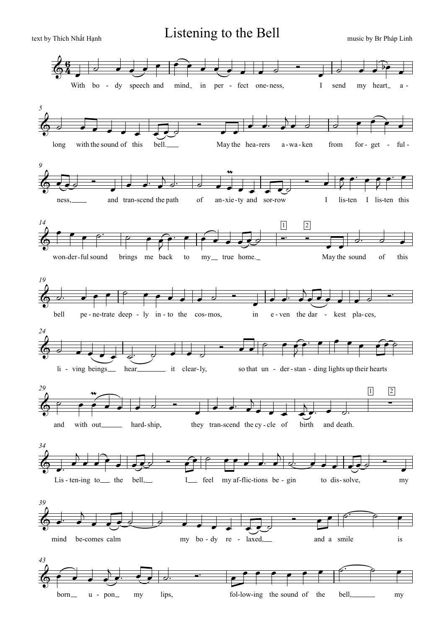by Thích Nhất Hạnh **Listening to the Bell** music by Br Pháp Linh